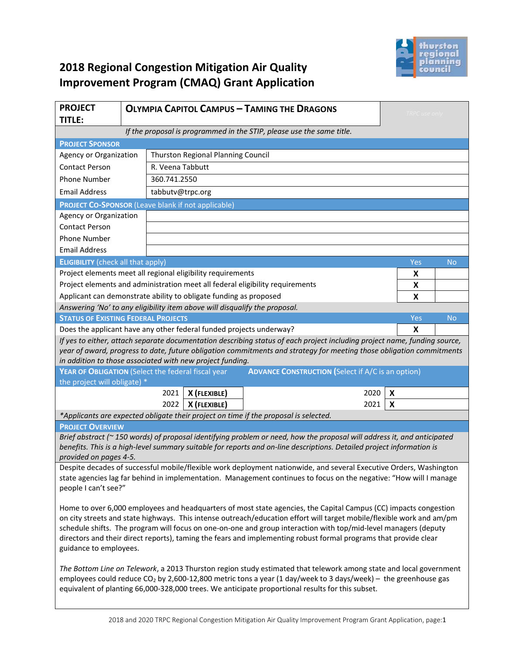

# **2018 Regional Congestion Mitigation Air Quality Improvement Program (CMAQ) Grant Application**

| <b>PROJECT</b><br><b>TITLE:</b>                                                                                                                                                                                                                                                                                                                                                                                                                                                                            |              | <b>OLYMPIA CAPITOL CAMPUS - TAMING THE DRAGONS</b> |              |                                                                               |                           | TRPC use only |  |
|------------------------------------------------------------------------------------------------------------------------------------------------------------------------------------------------------------------------------------------------------------------------------------------------------------------------------------------------------------------------------------------------------------------------------------------------------------------------------------------------------------|--------------|----------------------------------------------------|--------------|-------------------------------------------------------------------------------|---------------------------|---------------|--|
| If the proposal is programmed in the STIP, please use the same title.                                                                                                                                                                                                                                                                                                                                                                                                                                      |              |                                                    |              |                                                                               |                           |               |  |
| <b>PROJECT SPONSOR</b>                                                                                                                                                                                                                                                                                                                                                                                                                                                                                     |              |                                                    |              |                                                                               |                           |               |  |
| Thurston Regional Planning Council<br>Agency or Organization                                                                                                                                                                                                                                                                                                                                                                                                                                               |              |                                                    |              |                                                                               |                           |               |  |
| R. Veena Tabbutt<br><b>Contact Person</b>                                                                                                                                                                                                                                                                                                                                                                                                                                                                  |              |                                                    |              |                                                                               |                           |               |  |
| <b>Phone Number</b>                                                                                                                                                                                                                                                                                                                                                                                                                                                                                        | 360.741.2550 |                                                    |              |                                                                               |                           |               |  |
| <b>Email Address</b><br>tabbutv@trpc.org                                                                                                                                                                                                                                                                                                                                                                                                                                                                   |              |                                                    |              |                                                                               |                           |               |  |
| <b>PROJECT CO-SPONSOR (Leave blank if not applicable)</b>                                                                                                                                                                                                                                                                                                                                                                                                                                                  |              |                                                    |              |                                                                               |                           |               |  |
| Agency or Organization                                                                                                                                                                                                                                                                                                                                                                                                                                                                                     |              |                                                    |              |                                                                               |                           |               |  |
| <b>Contact Person</b>                                                                                                                                                                                                                                                                                                                                                                                                                                                                                      |              |                                                    |              |                                                                               |                           |               |  |
| <b>Phone Number</b>                                                                                                                                                                                                                                                                                                                                                                                                                                                                                        |              |                                                    |              |                                                                               |                           |               |  |
| <b>Email Address</b>                                                                                                                                                                                                                                                                                                                                                                                                                                                                                       |              |                                                    |              |                                                                               |                           |               |  |
| <b>ELIGIBILITY</b> (check all that apply)                                                                                                                                                                                                                                                                                                                                                                                                                                                                  |              |                                                    |              |                                                                               | Yes                       | No            |  |
| Project elements meet all regional eligibility requirements                                                                                                                                                                                                                                                                                                                                                                                                                                                |              |                                                    |              |                                                                               | X                         |               |  |
|                                                                                                                                                                                                                                                                                                                                                                                                                                                                                                            |              |                                                    |              | Project elements and administration meet all federal eligibility requirements | X                         |               |  |
| Applicant can demonstrate ability to obligate funding as proposed                                                                                                                                                                                                                                                                                                                                                                                                                                          |              |                                                    |              |                                                                               | X                         |               |  |
| Answering 'No' to any eligibility item above will disqualify the proposal.                                                                                                                                                                                                                                                                                                                                                                                                                                 |              |                                                    |              |                                                                               |                           |               |  |
| <b>STATUS OF EXISTING FEDERAL PROJECTS</b>                                                                                                                                                                                                                                                                                                                                                                                                                                                                 |              |                                                    |              |                                                                               | Yes                       | No            |  |
| Does the applicant have any other federal funded projects underway?                                                                                                                                                                                                                                                                                                                                                                                                                                        |              |                                                    |              |                                                                               | X                         |               |  |
| If yes to either, attach separate documentation describing status of each project including project name, funding source,<br>year of award, progress to date, future obligation commitments and strategy for meeting those obligation commitments<br>in addition to those associated with new project funding.                                                                                                                                                                                             |              |                                                    |              |                                                                               |                           |               |  |
| YEAR OF OBLIGATION (Select the federal fiscal year<br><b>ADVANCE CONSTRUCTION (Select if A/C is an option)</b>                                                                                                                                                                                                                                                                                                                                                                                             |              |                                                    |              |                                                                               |                           |               |  |
| the project will obligate) *                                                                                                                                                                                                                                                                                                                                                                                                                                                                               |              |                                                    |              |                                                                               |                           |               |  |
|                                                                                                                                                                                                                                                                                                                                                                                                                                                                                                            |              | 2021                                               | X (FLEXIBLE) | 2020                                                                          | $\boldsymbol{\mathsf{x}}$ |               |  |
|                                                                                                                                                                                                                                                                                                                                                                                                                                                                                                            |              | 2022                                               | X (FLEXIBLE) | 2021                                                                          | X                         |               |  |
| *Applicants are expected obligate their project on time if the proposal is selected.                                                                                                                                                                                                                                                                                                                                                                                                                       |              |                                                    |              |                                                                               |                           |               |  |
| <b>PROJECT OVERVIEW</b>                                                                                                                                                                                                                                                                                                                                                                                                                                                                                    |              |                                                    |              |                                                                               |                           |               |  |
| Brief abstract ( $\sim$ 150 words) of proposal identifying problem or need, how the proposal will address it, and anticipated<br>benefits. This is a high-level summary suitable for reports and on-line descriptions. Detailed project information is<br>provided on pages 4-5.                                                                                                                                                                                                                           |              |                                                    |              |                                                                               |                           |               |  |
| Despite decades of successful mobile/flexible work deployment nationwide, and several Executive Orders, Washington<br>state agencies lag far behind in implementation. Management continues to focus on the negative: "How will I manage<br>people I can't see?"                                                                                                                                                                                                                                           |              |                                                    |              |                                                                               |                           |               |  |
| Home to over 6,000 employees and headquarters of most state agencies, the Capital Campus (CC) impacts congestion<br>on city streets and state highways. This intense outreach/education effort will target mobile/flexible work and am/pm<br>schedule shifts. The program will focus on one-on-one and group interaction with top/mid-level managers (deputy<br>directors and their direct reports), taming the fears and implementing robust formal programs that provide clear<br>guidance to employees. |              |                                                    |              |                                                                               |                           |               |  |
| The Bottom Line on Telework, a 2013 Thurston region study estimated that telework among state and local government<br>employees could reduce CO <sub>2</sub> by 2,600-12,800 metric tons a year (1 day/week to 3 days/week) - the greenhouse gas<br>equivalent of planting 66,000-328,000 trees. We anticipate proportional results for this subset.                                                                                                                                                       |              |                                                    |              |                                                                               |                           |               |  |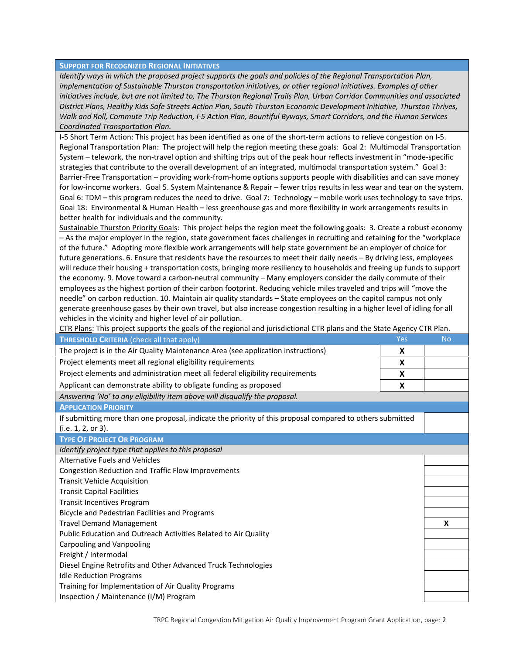#### **SUPPORT FOR RECOGNIZED REGIONAL INITIATIVES**

Identify ways in which the proposed project supports the goals and policies of the Regional Transportation Plan, *implementation of Sustainable Thurston transportation initiatives, or other regional initiatives. Examples of other* initiatives include, but are not limited to, The Thurston Regional Trails Plan, Urban Corridor Communities and associated District Plans, Healthy Kids Safe Streets Action Plan, South Thurston Economic Development Initiative, Thurston Thrives, Walk and Roll, Commute Trip Reduction, I-5 Action Plan, Bountiful Byways, Smart Corridors, and the Human Services *Coordinated Transportation Plan.*

I‐5 Short Term Action: This project has been identified as one of the short‐term actions to relieve congestion on I‐5. Regional Transportation Plan: The project will help the region meeting these goals: Goal 2: Multimodal Transportation System – telework, the non-travel option and shifting trips out of the peak hour reflects investment in "mode-specific strategies that contribute to the overall development of an integrated, multimodal transportation system." Goal 3: Barrier‐Free Transportation – providing work‐from‐home options supports people with disabilities and can save money for low-income workers. Goal 5. System Maintenance & Repair – fewer trips results in less wear and tear on the system. Goal 6: TDM – this program reduces the need to drive. Goal 7: Technology – mobile work uses technology to save trips. Goal 18: Environmental & Human Health – less greenhouse gas and more flexibility in work arrangements results in better health for individuals and the community.

Sustainable Thurston Priority Goals: This project helps the region meet the following goals: 3. Create a robust economy – As the major employer in the region, state government faces challenges in recruiting and retaining for the "workplace of the future." Adopting more flexible work arrangements will help state government be an employer of choice for future generations. 6. Ensure that residents have the resources to meet their daily needs – By driving less, employees will reduce their housing + transportation costs, bringing more resiliency to households and freeing up funds to support the economy. 9. Move toward a carbon‐neutral community – Many employers consider the daily commute of their employees as the highest portion of their carbon footprint. Reducing vehicle miles traveled and trips will "move the needle" on carbon reduction. 10. Maintain air quality standards – State employees on the capitol campus not only generate greenhouse gases by their own travel, but also increase congestion resulting in a higher level of idling for all vehicles in the vicinity and higher level of air pollution.

| CTR Plans: This project supports the goals of the regional and jurisdictional CTR plans and the State Agency CTR Plan. |     |           |  |  |
|------------------------------------------------------------------------------------------------------------------------|-----|-----------|--|--|
| THRESHOLD CRITERIA (check all that apply)                                                                              | Yes | <b>No</b> |  |  |
| The project is in the Air Quality Maintenance Area (see application instructions)                                      | X   |           |  |  |
| Project elements meet all regional eligibility requirements                                                            | X   |           |  |  |
| Project elements and administration meet all federal eligibility requirements<br>X                                     |     |           |  |  |
| Applicant can demonstrate ability to obligate funding as proposed                                                      | X   |           |  |  |
| Answering 'No' to any eligibility item above will disqualify the proposal.                                             |     |           |  |  |
| <b>APPLICATION PRIORITY</b>                                                                                            |     |           |  |  |
| If submitting more than one proposal, indicate the priority of this proposal compared to others submitted              |     |           |  |  |
| (i.e. 1, 2, or 3).                                                                                                     |     |           |  |  |
| <b>TYPE OF PROJECT OR PROGRAM</b>                                                                                      |     |           |  |  |
| Identify project type that applies to this proposal                                                                    |     |           |  |  |
| Alternative Fuels and Vehicles                                                                                         |     |           |  |  |
| Congestion Reduction and Traffic Flow Improvements                                                                     |     |           |  |  |
| <b>Transit Vehicle Acquisition</b>                                                                                     |     |           |  |  |
| <b>Transit Capital Facilities</b>                                                                                      |     |           |  |  |
| <b>Transit Incentives Program</b>                                                                                      |     |           |  |  |
| Bicycle and Pedestrian Facilities and Programs                                                                         |     |           |  |  |
| <b>Travel Demand Management</b>                                                                                        |     |           |  |  |
| Public Education and Outreach Activities Related to Air Quality                                                        |     |           |  |  |
| Carpooling and Vanpooling                                                                                              |     |           |  |  |
| Freight / Intermodal                                                                                                   |     |           |  |  |
| Diesel Engine Retrofits and Other Advanced Truck Technologies                                                          |     |           |  |  |
| <b>Idle Reduction Programs</b>                                                                                         |     |           |  |  |
| Training for Implementation of Air Quality Programs                                                                    |     |           |  |  |
| Inspection / Maintenance (I/M) Program                                                                                 |     |           |  |  |
|                                                                                                                        |     |           |  |  |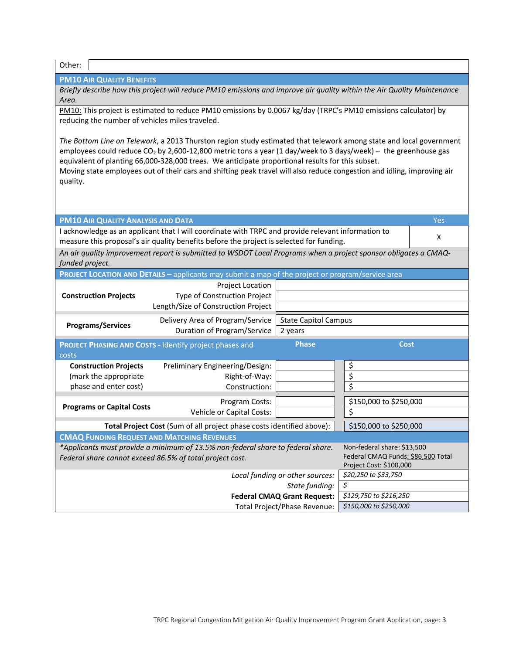| Other:                                                                                                                                                                                                                                                                                                                                                                                                                                                                                      |                                                                                                                                                                    |                                        |                                                                                              |     |  |  |
|---------------------------------------------------------------------------------------------------------------------------------------------------------------------------------------------------------------------------------------------------------------------------------------------------------------------------------------------------------------------------------------------------------------------------------------------------------------------------------------------|--------------------------------------------------------------------------------------------------------------------------------------------------------------------|----------------------------------------|----------------------------------------------------------------------------------------------|-----|--|--|
| <b>PM10 AIR QUALITY BENEFITS</b>                                                                                                                                                                                                                                                                                                                                                                                                                                                            |                                                                                                                                                                    |                                        |                                                                                              |     |  |  |
| Briefly describe how this project will reduce PM10 emissions and improve air quality within the Air Quality Maintenance<br>Area.                                                                                                                                                                                                                                                                                                                                                            |                                                                                                                                                                    |                                        |                                                                                              |     |  |  |
|                                                                                                                                                                                                                                                                                                                                                                                                                                                                                             | PM10: This project is estimated to reduce PM10 emissions by 0.0067 kg/day (TRPC's PM10 emissions calculator) by<br>reducing the number of vehicles miles traveled. |                                        |                                                                                              |     |  |  |
| The Bottom Line on Telework, a 2013 Thurston region study estimated that telework among state and local government<br>employees could reduce CO <sub>2</sub> by 2,600-12,800 metric tons a year (1 day/week to 3 days/week) - the greenhouse gas<br>equivalent of planting 66,000-328,000 trees. We anticipate proportional results for this subset.<br>Moving state employees out of their cars and shifting peak travel will also reduce congestion and idling, improving air<br>quality. |                                                                                                                                                                    |                                        |                                                                                              |     |  |  |
| <b>PM10 AIR QUALITY ANALYSIS AND DATA</b>                                                                                                                                                                                                                                                                                                                                                                                                                                                   |                                                                                                                                                                    |                                        |                                                                                              | Yes |  |  |
|                                                                                                                                                                                                                                                                                                                                                                                                                                                                                             | I acknowledge as an applicant that I will coordinate with TRPC and provide relevant information to                                                                 |                                        |                                                                                              |     |  |  |
|                                                                                                                                                                                                                                                                                                                                                                                                                                                                                             | measure this proposal's air quality benefits before the project is selected for funding.                                                                           |                                        |                                                                                              | X   |  |  |
| funded project.                                                                                                                                                                                                                                                                                                                                                                                                                                                                             | An air quality improvement report is submitted to WSDOT Local Programs when a project sponsor obligates a CMAQ-                                                    |                                        |                                                                                              |     |  |  |
|                                                                                                                                                                                                                                                                                                                                                                                                                                                                                             | PROJECT LOCATION AND DETAILS - applicants may submit a map of the project or program/service area                                                                  |                                        |                                                                                              |     |  |  |
| <b>Construction Projects</b>                                                                                                                                                                                                                                                                                                                                                                                                                                                                | Project Location<br>Type of Construction Project<br>Length/Size of Construction Project                                                                            |                                        |                                                                                              |     |  |  |
| <b>Programs/Services</b>                                                                                                                                                                                                                                                                                                                                                                                                                                                                    | Delivery Area of Program/Service<br><b>Duration of Program/Service</b>                                                                                             | <b>State Capitol Campus</b><br>2 years |                                                                                              |     |  |  |
| costs                                                                                                                                                                                                                                                                                                                                                                                                                                                                                       | <b>PROJECT PHASING AND COSTS - Identify project phases and</b>                                                                                                     | <b>Phase</b>                           | <b>Cost</b>                                                                                  |     |  |  |
| <b>Construction Projects</b>                                                                                                                                                                                                                                                                                                                                                                                                                                                                | Preliminary Engineering/Design:                                                                                                                                    |                                        | \$                                                                                           |     |  |  |
| (mark the appropriate                                                                                                                                                                                                                                                                                                                                                                                                                                                                       | Right-of-Way:                                                                                                                                                      |                                        | $\overline{\boldsymbol{\zeta}}$                                                              |     |  |  |
| phase and enter cost)                                                                                                                                                                                                                                                                                                                                                                                                                                                                       | Construction:                                                                                                                                                      |                                        | \$                                                                                           |     |  |  |
| <b>Programs or Capital Costs</b>                                                                                                                                                                                                                                                                                                                                                                                                                                                            | Program Costs:<br><b>Vehicle or Capital Costs:</b>                                                                                                                 |                                        | \$150,000 to \$250,000<br>\$                                                                 |     |  |  |
| \$150,000 to \$250,000<br>Total Project Cost (Sum of all project phase costs identified above):                                                                                                                                                                                                                                                                                                                                                                                             |                                                                                                                                                                    |                                        |                                                                                              |     |  |  |
| <b>CMAQ FUNDING REQUEST AND MATCHING REVENUES</b>                                                                                                                                                                                                                                                                                                                                                                                                                                           |                                                                                                                                                                    |                                        |                                                                                              |     |  |  |
|                                                                                                                                                                                                                                                                                                                                                                                                                                                                                             | *Applicants must provide a minimum of 13.5% non-federal share to federal share.<br>Federal share cannot exceed 86.5% of total project cost.                        |                                        | Non-federal share: \$13,500<br>Federal CMAQ Funds: \$86,500 Total<br>Project Cost: \$100,000 |     |  |  |
|                                                                                                                                                                                                                                                                                                                                                                                                                                                                                             |                                                                                                                                                                    | Local funding or other sources:        | \$20,250 to \$33,750                                                                         |     |  |  |
| \$<br>State funding:                                                                                                                                                                                                                                                                                                                                                                                                                                                                        |                                                                                                                                                                    |                                        |                                                                                              |     |  |  |
|                                                                                                                                                                                                                                                                                                                                                                                                                                                                                             |                                                                                                                                                                    | <b>Federal CMAQ Grant Request:</b>     | \$129,750 to \$216,250                                                                       |     |  |  |
| \$150,000 to \$250,000<br>Total Project/Phase Revenue:                                                                                                                                                                                                                                                                                                                                                                                                                                      |                                                                                                                                                                    |                                        |                                                                                              |     |  |  |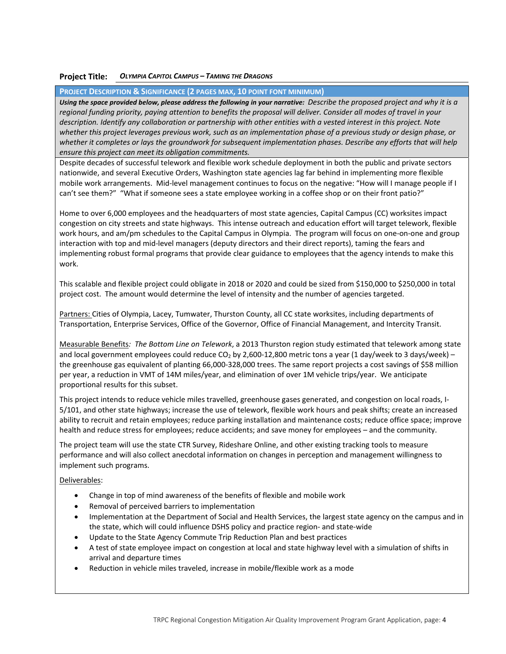## **Project Title:** *OLYMPIA CAPITOL CAMPUS – TAMING THE DRAGONS*

### **PROJECT DESCRIPTION & SIGNIFICANCE (2 PAGES MAX, 10 POINT FONT MINIMUM)**

Using the space provided below, please address the following in your narrative: Describe the proposed project and why it is a regional funding priority, paying attention to benefits the proposal will deliver. Consider all modes of travel in your description. Identify any collaboration or partnership with other entities with a vested interest in this project. Note whether this project leverages previous work, such as an implementation phase of a previous study or design phase, or whether it completes or lays the groundwork for subsequent implementation phases. Describe any efforts that will help *ensure this project can meet its obligation commitments.*

Despite decades of successful telework and flexible work schedule deployment in both the public and private sectors nationwide, and several Executive Orders, Washington state agencies lag far behind in implementing more flexible mobile work arrangements. Mid-level management continues to focus on the negative: "How will I manage people if I can't see them?" "What if someone sees a state employee working in a coffee shop or on their front patio?"

Home to over 6,000 employees and the headquarters of most state agencies, Capital Campus (CC) worksites impact congestion on city streets and state highways. This intense outreach and education effort will target telework, flexible work hours, and am/pm schedules to the Capital Campus in Olympia. The program will focus on one-on-one and group interaction with top and mid‐level managers (deputy directors and their direct reports), taming the fears and implementing robust formal programs that provide clear guidance to employees that the agency intends to make this work.

This scalable and flexible project could obligate in 2018 or 2020 and could be sized from \$150,000 to \$250,000 in total project cost. The amount would determine the level of intensity and the number of agencies targeted.

Partners: Cities of Olympia, Lacey, Tumwater, Thurston County, all CC state worksites, including departments of Transportation, Enterprise Services, Office of the Governor, Office of Financial Management, and Intercity Transit.

Measurable Benefits*: The Bottom Line on Telework*, a 2013 Thurston region study estimated that telework among state and local government employees could reduce CO<sub>2</sub> by 2,600-12,800 metric tons a year (1 day/week to 3 days/week) – the greenhouse gas equivalent of planting 66,000‐328,000 trees. The same report projects a cost savings of \$58 million per year, a reduction in VMT of 14M miles/year, and elimination of over 1M vehicle trips/year. We anticipate proportional results for this subset.

This project intends to reduce vehicle miles travelled, greenhouse gases generated, and congestion on local roads, I‐ 5/101, and other state highways; increase the use of telework, flexible work hours and peak shifts; create an increased ability to recruit and retain employees; reduce parking installation and maintenance costs; reduce office space; improve health and reduce stress for employees; reduce accidents; and save money for employees – and the community.

The project team will use the state CTR Survey, Rideshare Online, and other existing tracking tools to measure performance and will also collect anecdotal information on changes in perception and management willingness to implement such programs.

#### Deliverables:

- Change in top of mind awareness of the benefits of flexible and mobile work
- Removal of perceived barriers to implementation
- Implementation at the Department of Social and Health Services, the largest state agency on the campus and in the state, which will could influence DSHS policy and practice region‐ and state‐wide
- Update to the State Agency Commute Trip Reduction Plan and best practices
- A test of state employee impact on congestion at local and state highway level with a simulation of shifts in arrival and departure times
- Reduction in vehicle miles traveled, increase in mobile/flexible work as a mode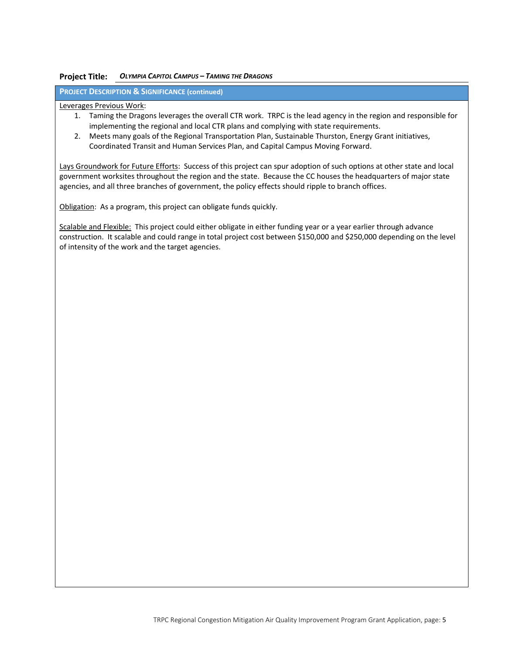#### **Project Title:** *OLYMPIA CAPITOL CAMPUS – TAMING THE DRAGONS*

**PROJECT DESCRIPTION & SIGNIFICANCE (continued)**

Leverages Previous Work:

- 1. Taming the Dragons leverages the overall CTR work. TRPC is the lead agency in the region and responsible for implementing the regional and local CTR plans and complying with state requirements.
- 2. Meets many goals of the Regional Transportation Plan, Sustainable Thurston, Energy Grant initiatives, Coordinated Transit and Human Services Plan, and Capital Campus Moving Forward.

Lays Groundwork for Future Efforts: Success of this project can spur adoption of such options at other state and local government worksites throughout the region and the state. Because the CC houses the headquarters of major state agencies, and all three branches of government, the policy effects should ripple to branch offices.

Obligation: As a program, this project can obligate funds quickly.

Scalable and Flexible: This project could either obligate in either funding year or a year earlier through advance construction. It scalable and could range in total project cost between \$150,000 and \$250,000 depending on the level of intensity of the work and the target agencies.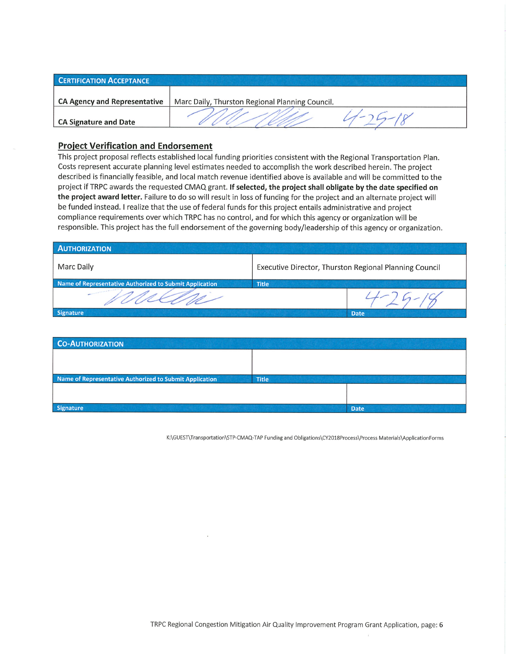| <b>CERTIFICATION ACCEPTANCE</b>     |                                                 |  |
|-------------------------------------|-------------------------------------------------|--|
| <b>CA Agency and Representative</b> | Marc Daily, Thurston Regional Planning Council. |  |
| <b>CA Signature and Date</b>        |                                                 |  |

## **Project Verification and Endorsement**

This project proposal reflects established local funding priorities consistent with the Regional Transportation Plan. Costs represent accurate planning level estimates needed to accomplish the work described herein. The project described is financially feasible, and local match revenue identified above is available and will be committed to the project if TRPC awards the requested CMAQ grant. If selected, the project shall obligate by the date specified on the project award letter. Failure to do so will result in loss of funding for the project and an alternate project will be funded instead. I realize that the use of federal funds for this project entails administrative and project compliance requirements over which TRPC has no control, and for which this agency or organization will be responsible. This project has the full endorsement of the governing body/leadership of this agency or organization.

| <b>AUTHORIZATION</b>                                    |                                                        |             |  |
|---------------------------------------------------------|--------------------------------------------------------|-------------|--|
| Marc Daily                                              | Executive Director, Thurston Regional Planning Council |             |  |
| Name of Representative Authorized to Submit Application | <b>Title</b>                                           |             |  |
|                                                         |                                                        |             |  |
| Signature                                               |                                                        | <b>Date</b> |  |

| <b>CO-AUTHORIZATION</b>                                 |              |             |
|---------------------------------------------------------|--------------|-------------|
|                                                         |              |             |
|                                                         |              |             |
| Name of Representative Authorized to Submit Application | <b>Title</b> |             |
|                                                         |              |             |
|                                                         |              |             |
| <b>Signature</b>                                        |              | <b>Date</b> |

K:\GUEST\Transportation\STP-CMAQ-TAP Funding and Obligations\CY2018Process\Process Materials\ApplicationForms